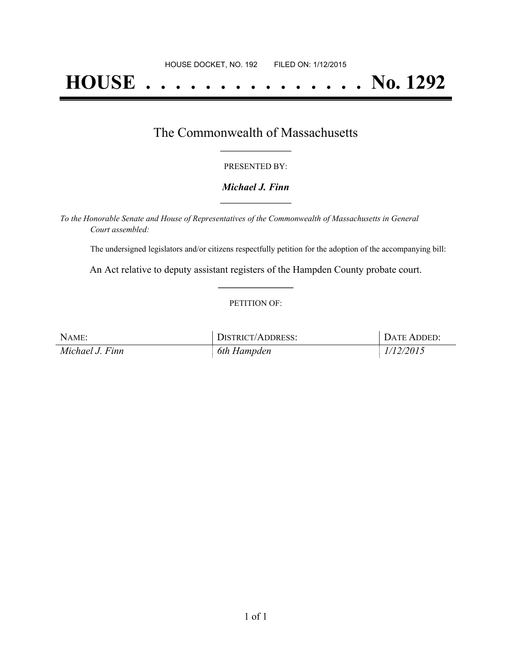# **HOUSE . . . . . . . . . . . . . . . No. 1292**

## The Commonwealth of Massachusetts **\_\_\_\_\_\_\_\_\_\_\_\_\_\_\_\_\_**

#### PRESENTED BY:

#### *Michael J. Finn* **\_\_\_\_\_\_\_\_\_\_\_\_\_\_\_\_\_**

*To the Honorable Senate and House of Representatives of the Commonwealth of Massachusetts in General Court assembled:*

The undersigned legislators and/or citizens respectfully petition for the adoption of the accompanying bill:

An Act relative to deputy assistant registers of the Hampden County probate court. **\_\_\_\_\_\_\_\_\_\_\_\_\_\_\_**

#### PETITION OF:

| NAME:           | DISTRICT/ADDRESS: | DATE ADDED: |
|-----------------|-------------------|-------------|
| Michael J. Finn | 6th Hampden       | 1/12/2015   |